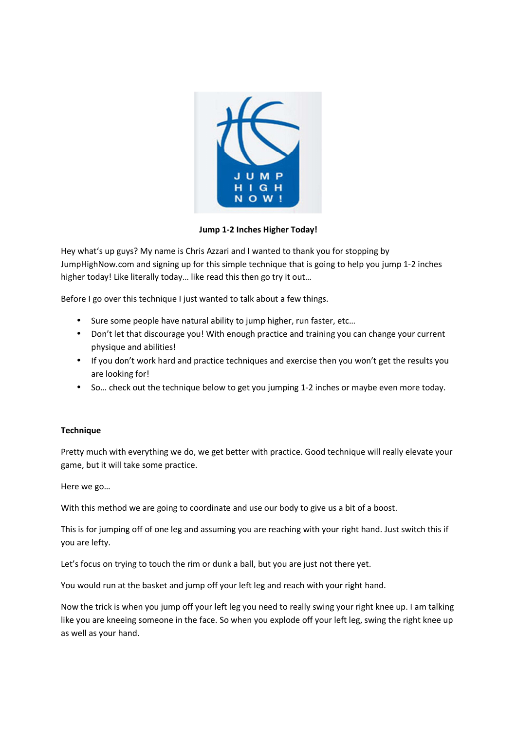

**Jump 1-2 Inches Higher Today!** 

Hey what's up guys? My name is Chris Azzari and I wanted to thank you for stopping by JumpHighNow.com and signing up for this simple technique that is going to help you jump 1-2 inches higher today! Like literally today… like read this then go try it out…

Before I go over this technique I just wanted to talk about a few things.

- Sure some people have natural ability to jump higher, run faster, etc…
- Don't let that discourage you! With enough practice and training you can change your current physique and abilities!
- If you don't work hard and practice techniques and exercise then you won't get the results you are looking for!
- So… check out the technique below to get you jumping 1-2 inches or maybe even more today.

## **Technique**

Pretty much with everything we do, we get better with practice. Good technique will really elevate your game, but it will take some practice.

Here we go…

With this method we are going to coordinate and use our body to give us a bit of a boost.

This is for jumping off of one leg and assuming you are reaching with your right hand. Just switch this if you are lefty.

Let's focus on trying to touch the rim or dunk a ball, but you are just not there yet.

You would run at the basket and jump off your left leg and reach with your right hand.

Now the trick is when you jump off your left leg you need to really swing your right knee up. I am talking like you are kneeing someone in the face. So when you explode off your left leg, swing the right knee up as well as your hand.